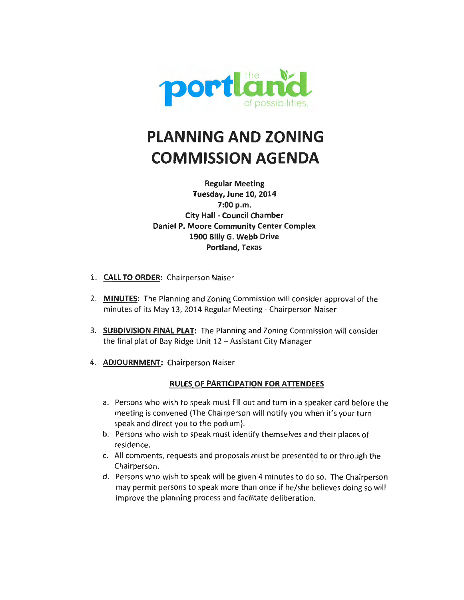

## **PLANNING AND ZONING COMMISSION AGENDA**

**Regular Meeting Tuesday, June 10, 2014 7:00p.m. City Hall - Council Chamber Daniel P. Moore Community Center Complex 1900 Billy G. Webb Drive Portland, Texas** 

- 1. **CAll TO ORDER:** Chairperson Naiser
- 2. **MINUTES:** The Planning and Zoning Commission will consider approval of the minutes of its May 13, 2014 Regular Meeting- Chairperson Naiser
- 3. **SUBDIVISION FINAl PlAT:** The Planning and Zoning Commission will consider the final plat of Bay Ridge Unit  $12 -$  Assistant City Manager
- 4. **ADJOURNMENT:** Chairperson Naiser

#### **RUlES OF PARTICIPATION FOR ATTENDEES**

- a. Persons who wish to speak must fill out and turn in a speaker card before the meeting is convened (The Chairperson will notify you when it's your turn speak and direct you to the podium).
- b. Persons who wish to speak must identify themselves and their places of residence.
- c. All comments, requests and proposals must be presented to or through the Chairperson.
- d. Persons who wish to speak will be given 4 minutes to do so. The Chairperson may permit persons to speak more than once if he/she believes doing so will improve the planning process and facilitate deliberation.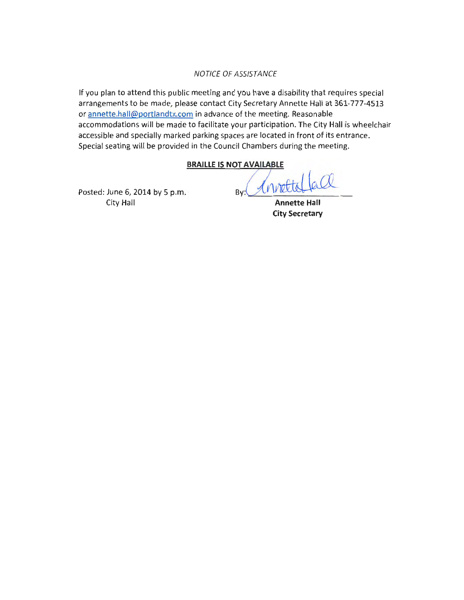#### NOTICE OF ASSISTANCE

If you plan to attend this public meeting and you have a disability that requires special arrangements to be made, please contact City Secretary Annette Hall at 361-777-4513 or annette.hall@portlandtx.com in advance of the meeting. Reasonable accommodations will be made to facilitate your participation. The City Hall is wheelchair accessible and specially marked parking spaces are located in front of its entrance. Special seating will be provided in the Council Chambers during the meeting.<br> **ERAILLE IS NOT AVAILABLE**<br>
Posted: June 6, 2014 by 5 p.m.<br>
By: Minuted La

Posted: June City Hall

**Annette Hall City Secretary**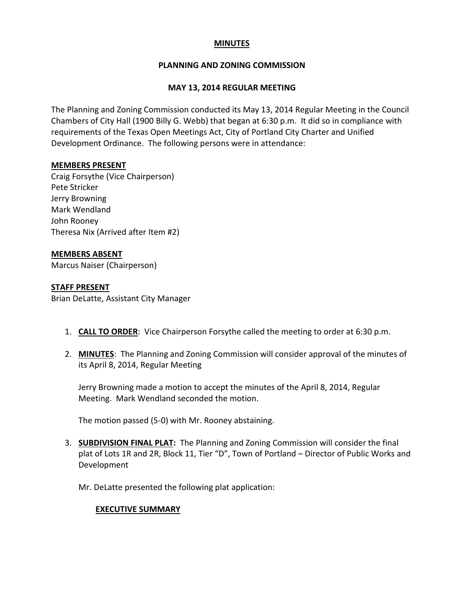#### **MINUTES**

#### **PLANNING AND ZONING COMMISSION**

#### **MAY 13, 2014 REGULAR MEETING**

The Planning and Zoning Commission conducted its May 13, 2014 Regular Meeting in the Council Chambers of City Hall (1900 Billy G. Webb) that began at 6:30 p.m. It did so in compliance with requirements of the Texas Open Meetings Act, City of Portland City Charter and Unified Development Ordinance. The following persons were in attendance:

#### **MEMBERS PRESENT**

Craig Forsythe (Vice Chairperson) Pete Stricker Jerry Browning Mark Wendland John Rooney Theresa Nix (Arrived after Item #2)

#### **MEMBERS ABSENT**

Marcus Naiser (Chairperson)

#### **STAFF PRESENT**

Brian DeLatte, Assistant City Manager

- 1. **CALL TO ORDER**: Vice Chairperson Forsythe called the meeting to order at 6:30 p.m.
- 2. **MINUTES**: The Planning and Zoning Commission will consider approval of the minutes of its April 8, 2014, Regular Meeting

Jerry Browning made a motion to accept the minutes of the April 8, 2014, Regular Meeting. Mark Wendland seconded the motion.

The motion passed (5-0) with Mr. Rooney abstaining.

- 3. **SUBDIVISION FINAL PLAT:** The Planning and Zoning Commission will consider the final plat of Lots 1R and 2R, Block 11, Tier "D", Town of Portland – Director of Public Works and Development
	- Mr. DeLatte presented the following plat application:

#### **EXECUTIVE SUMMARY**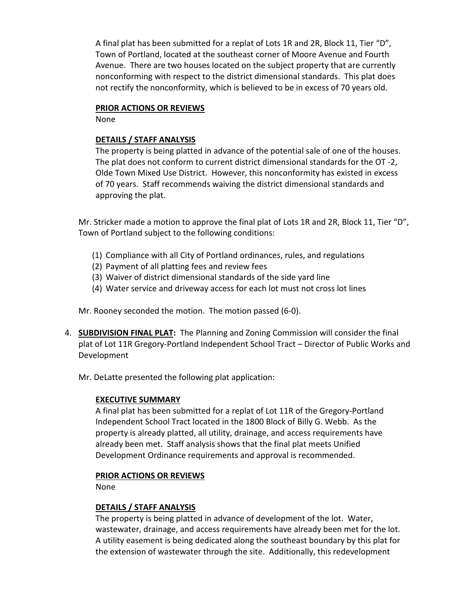A final plat has been submitted for a replat of Lots 1R and 2R, Block 11, Tier "D", Town of Portland, located at the southeast corner of Moore Avenue and Fourth Avenue. There are two houses located on the subject property that are currently nonconforming with respect to the district dimensional standards. This plat does not rectify the nonconformity, which is believed to be in excess of 70 years old.

#### **PRIOR ACTIONS OR REVIEWS**

None

#### **DETAILS / STAFF ANALYSIS**

The property is being platted in advance of the potential sale of one of the houses. The plat does not conform to current district dimensional standards for the OT -2, Olde Town Mixed Use District. However, this nonconformity has existed in excess of 70 years. Staff recommends waiving the district dimensional standards and approving the plat.

Mr. Stricker made a motion to approve the final plat of Lots 1R and 2R, Block 11, Tier "D", Town of Portland subject to the following conditions:

- (1) Compliance with all City of Portland ordinances, rules, and regulations
- (2) Payment of all platting fees and review fees
- (3) Waiver of district dimensional standards of the side yard line
- (4) Water service and driveway access for each lot must not cross lot lines

Mr. Rooney seconded the motion. The motion passed (6-0).

- 4. **SUBDIVISION FINAL PLAT:** The Planning and Zoning Commission will consider the final plat of Lot 11R Gregory-Portland Independent School Tract – Director of Public Works and Development
	- Mr. DeLatte presented the following plat application:

#### **EXECUTIVE SUMMARY**

A final plat has been submitted for a replat of Lot 11R of the Gregory-Portland Independent School Tract located in the 1800 Block of Billy G. Webb. As the property is already platted, all utility, drainage, and access requirements have already been met. Staff analysis shows that the final plat meets Unified Development Ordinance requirements and approval is recommended.

#### **PRIOR ACTIONS OR REVIEWS**

None

#### **DETAILS / STAFF ANALYSIS**

The property is being platted in advance of development of the lot. Water, wastewater, drainage, and access requirements have already been met for the lot. A utility easement is being dedicated along the southeast boundary by this plat for the extension of wastewater through the site. Additionally, this redevelopment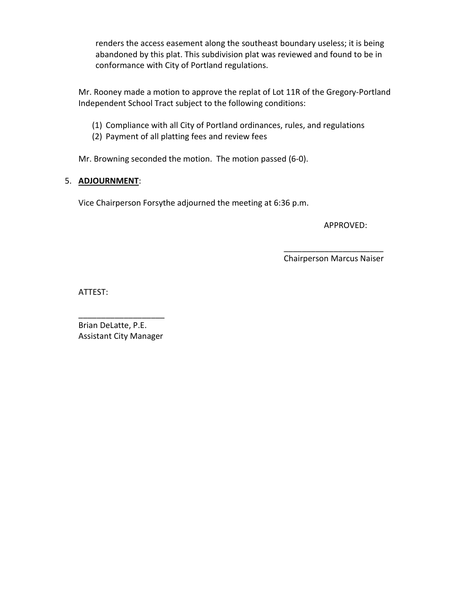renders the access easement along the southeast boundary useless; it is being abandoned by this plat. This subdivision plat was reviewed and found to be in conformance with City of Portland regulations.

Mr. Rooney made a motion to approve the replat of Lot 11R of the Gregory-Portland Independent School Tract subject to the following conditions:

- (1) Compliance with all City of Portland ordinances, rules, and regulations
- (2) Payment of all platting fees and review fees

Mr. Browning seconded the motion. The motion passed (6-0).

#### 5. **ADJOURNMENT**:

Vice Chairperson Forsythe adjourned the meeting at 6:36 p.m.

APPROVED:

Chairperson Marcus Naiser

 $\overline{\phantom{a}}$  , which is a set of the set of the set of the set of the set of the set of the set of the set of the set of the set of the set of the set of the set of the set of the set of the set of the set of the set of th

ATTEST:

Brian DeLatte, P.E. Assistant City Manager

\_\_\_\_\_\_\_\_\_\_\_\_\_\_\_\_\_\_\_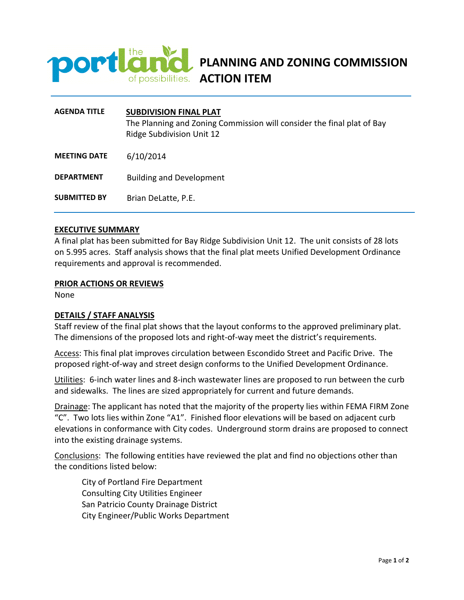

### **PLANNING AND ZONING COMMISSION**  of possibilities. **ACTION ITEM**

| <b>AGENDA TITLE</b> | <b>SUBDIVISION FINAL PLAT</b><br>The Planning and Zoning Commission will consider the final plat of Bay<br>Ridge Subdivision Unit 12 |
|---------------------|--------------------------------------------------------------------------------------------------------------------------------------|
| <b>MEETING DATE</b> | 6/10/2014                                                                                                                            |
| <b>DEPARTMENT</b>   | <b>Building and Development</b>                                                                                                      |
| <b>SUBMITTED BY</b> | Brian DeLatte, P.E.                                                                                                                  |

#### **EXECUTIVE SUMMARY**

A final plat has been submitted for Bay Ridge Subdivision Unit 12. The unit consists of 28 lots on 5.995 acres. Staff analysis shows that the final plat meets Unified Development Ordinance requirements and approval is recommended.

#### **PRIOR ACTIONS OR REVIEWS**

None

#### **DETAILS / STAFF ANALYSIS**

Staff review of the final plat shows that the layout conforms to the approved preliminary plat. The dimensions of the proposed lots and right-of-way meet the district's requirements.

Access: This final plat improves circulation between Escondido Street and Pacific Drive. The proposed right-of-way and street design conforms to the Unified Development Ordinance.

Utilities: 6-inch water lines and 8-inch wastewater lines are proposed to run between the curb and sidewalks. The lines are sized appropriately for current and future demands.

Drainage: The applicant has noted that the majority of the property lies within FEMA FIRM Zone "C". Two lots lies within Zone "A1". Finished floor elevations will be based on adjacent curb elevations in conformance with City codes. Underground storm drains are proposed to connect into the existing drainage systems.

Conclusions: The following entities have reviewed the plat and find no objections other than the conditions listed below:

City of Portland Fire Department Consulting City Utilities Engineer San Patricio County Drainage District City Engineer/Public Works Department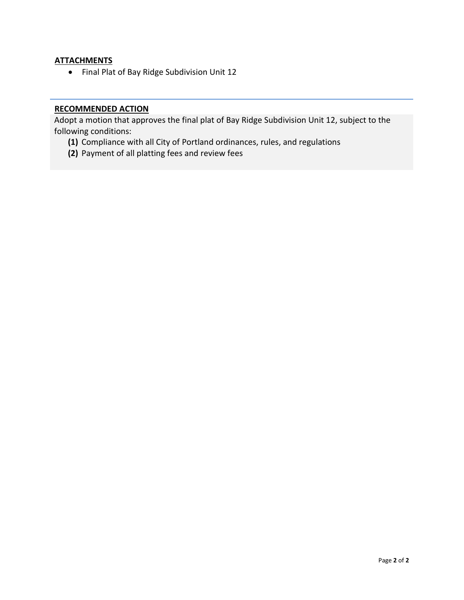#### **ATTACHMENTS**

• Final Plat of Bay Ridge Subdivision Unit 12

#### **RECOMMENDED ACTION**

Adopt a motion that approves the final plat of Bay Ridge Subdivision Unit 12, subject to the following conditions:

- **(1)** Compliance with all City of Portland ordinances, rules, and regulations
- **(2)** Payment of all platting fees and review fees